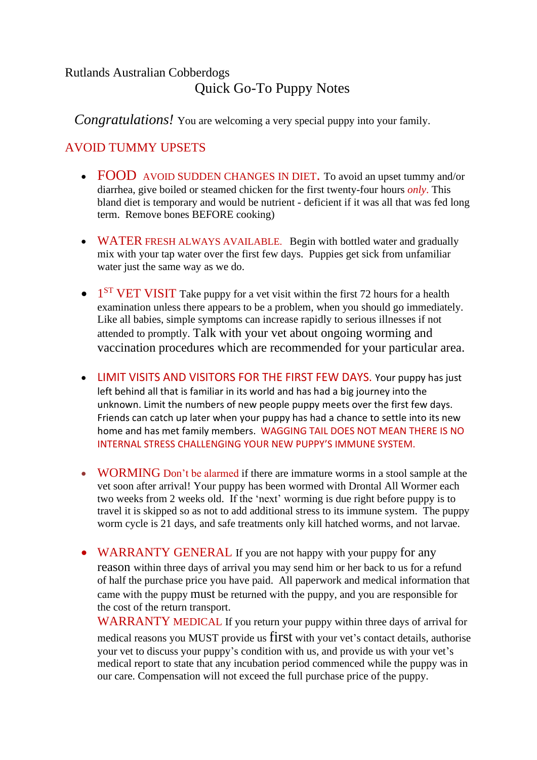## Rutlands Australian Cobberdogs Quick Go-To Puppy Notes

*Congratulations!* You are welcoming a very special puppy into your family.

## AVOID TUMMY UPSETS

- FOOD AVOID SUDDEN CHANGES IN DIET. To avoid an upset tummy and/or diarrhea, give boiled or steamed chicken for the first twenty-four hours *only*. This bland diet is temporary and would be nutrient - deficient if it was all that was fed long term. Remove bones BEFORE cooking)
- WATER FRESH ALWAYS AVAILABLE. Begin with bottled water and gradually mix with your tap water over the first few days. Puppies get sick from unfamiliar water just the same way as we do.
- $\bullet$  1<sup>ST</sup> VET VISIT Take puppy for a vet visit within the first 72 hours for a health examination unless there appears to be a problem, when you should go immediately. Like all babies, simple symptoms can increase rapidly to serious illnesses if not attended to promptly. Talk with your vet about ongoing worming and vaccination procedures which are recommended for your particular area.
- LIMIT VISITS AND VISITORS FOR THE FIRST FEW DAYS. Your puppy has just left behind all that is familiar in its world and has had a big journey into the unknown. Limit the numbers of new people puppy meets over the first few days. Friends can catch up later when your puppy has had a chance to settle into its new home and has met family members. WAGGING TAIL DOES NOT MEAN THERE IS NO INTERNAL STRESS CHALLENGING YOUR NEW PUPPY'S IMMUNE SYSTEM.
- WORMING Don't be alarmed if there are immature worms in a stool sample at the vet soon after arrival! Your puppy has been wormed with Drontal All Wormer each two weeks from 2 weeks old. If the 'next' worming is due right before puppy is to travel it is skipped so as not to add additional stress to its immune system. The puppy worm cycle is 21 days, and safe treatments only kill hatched worms, and not larvae.
- WARRANTY GENERAL If you are not happy with your puppy for any reason within three days of arrival you may send him or her back to us for a refund of half the purchase price you have paid. All paperwork and medical information that came with the puppy must be returned with the puppy, and you are responsible for the cost of the return transport.

WARRANTY MEDICAL If you return your puppy within three days of arrival for medical reasons you MUST provide us first with your vet's contact details, authorise your vet to discuss your puppy's condition with us, and provide us with your vet's medical report to state that any incubation period commenced while the puppy was in our care. Compensation will not exceed the full purchase price of the puppy.